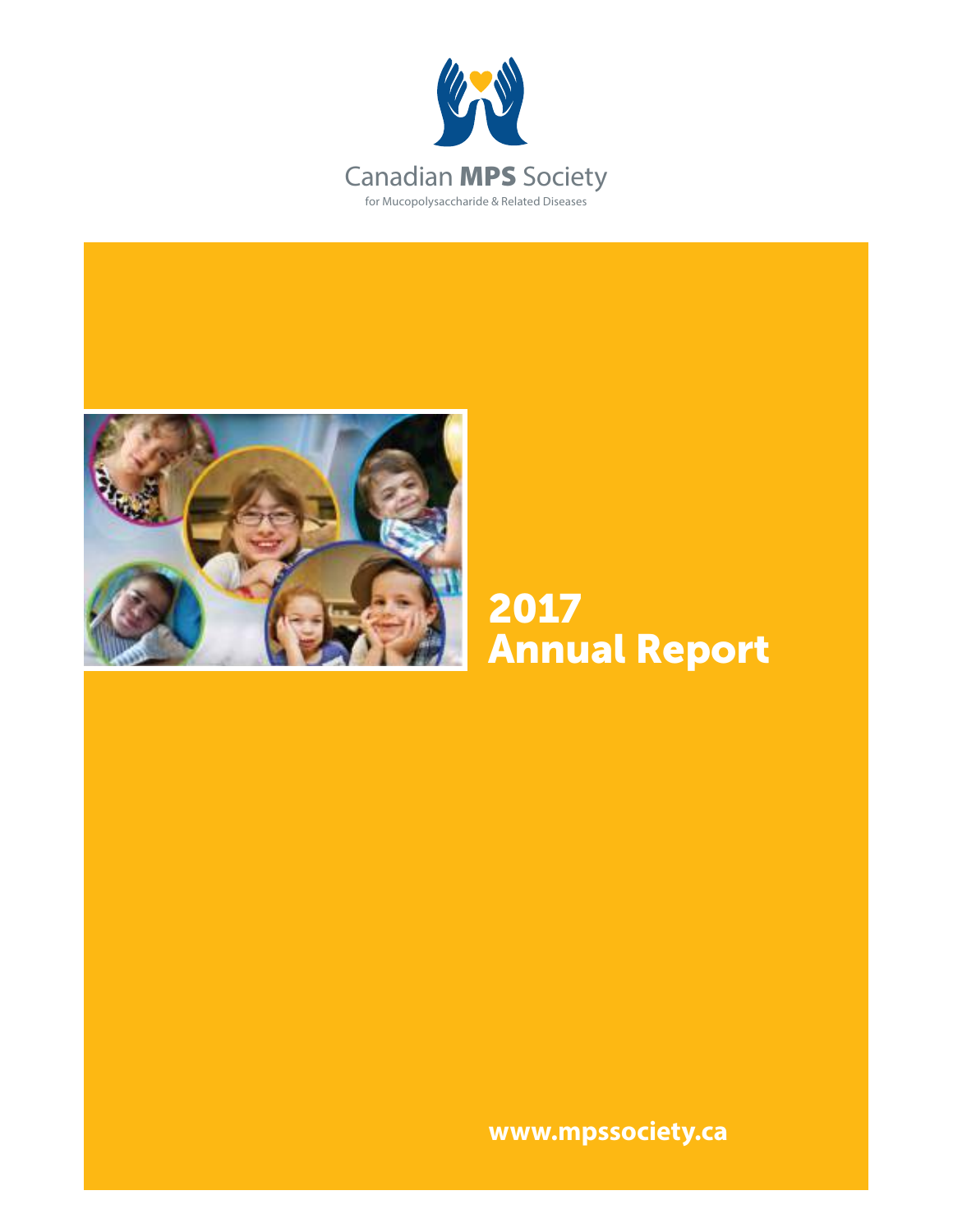



# 2017 Annual Report

**www.mpssociety.ca**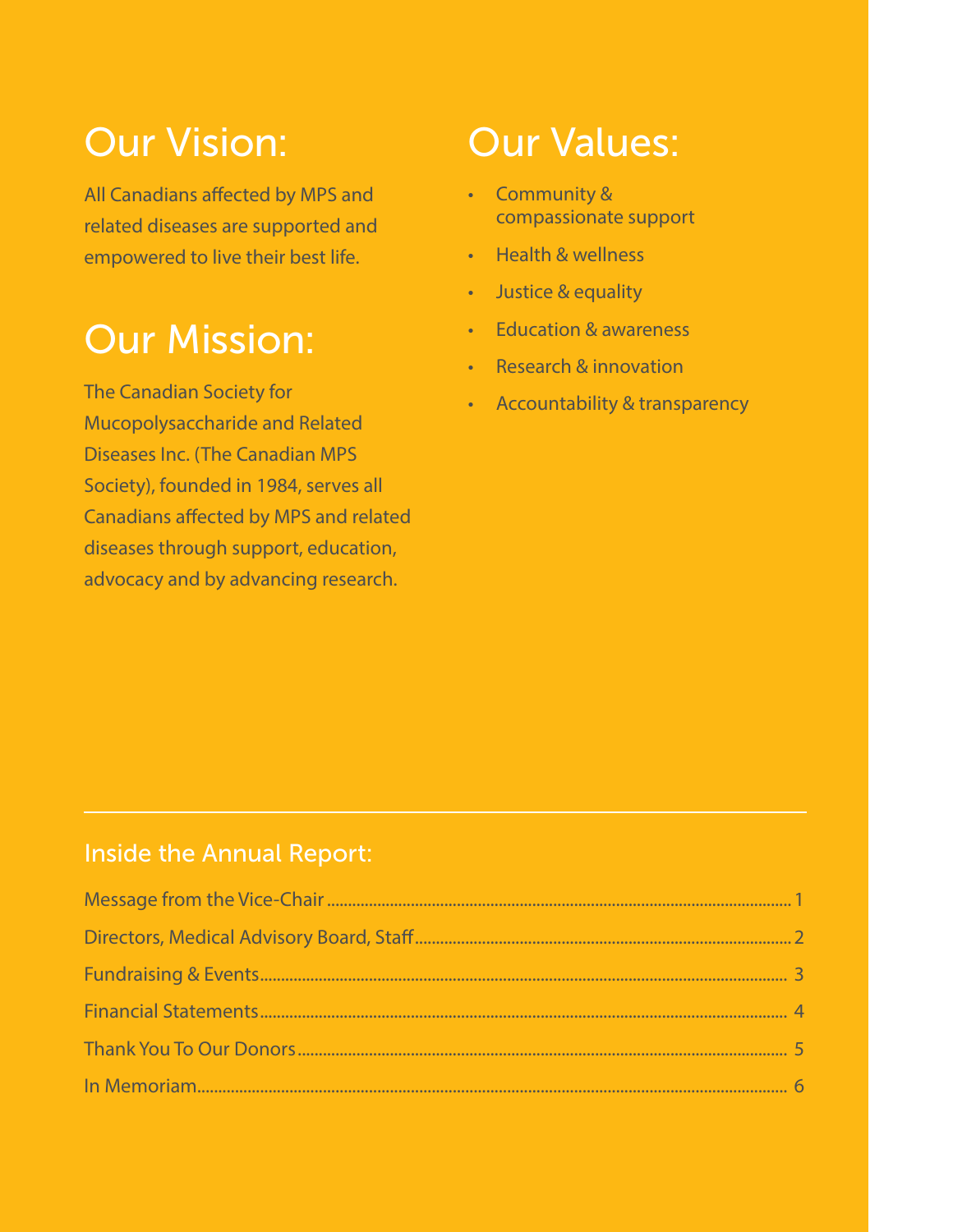# Our Vision:

All Canadians affected by MPS and related diseases are supported and empowered to live their best life.

# Our Mission:

The Canadian Society for Mucopolysaccharide and Related Diseases Inc. (The Canadian MPS Society), founded in 1984, serves all Canadians affected by MPS and related diseases through support, education, advocacy and by advancing research.

# Our Values:

- Community & compassionate support
- Health & wellness
- Justice & equality
- Education & awareness
- Research & innovation
- Accountability & transparency

# Inside the Annual Report: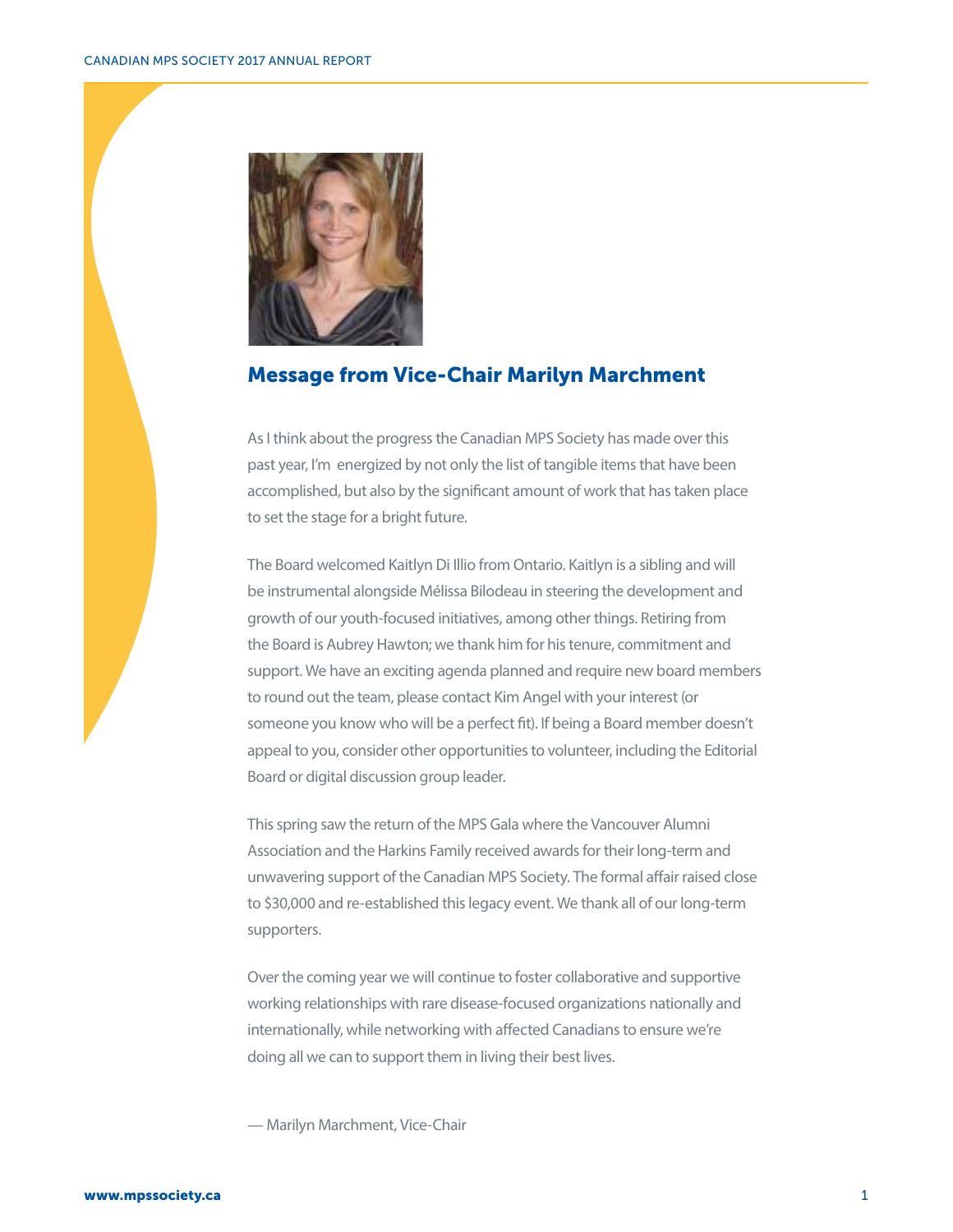

## Message from Vice-Chair Marilyn Marchment

As I think about the progress the Canadian MPS Society has made over this past year, I'm energized by not only the list of tangible items that have been accomplished, but also by the significant amount of work that has taken place to set the stage for a bright future.

The Board welcomed Kaitlyn Di Illio from Ontario. Kaitlyn is a sibling and will be instrumental alongside Mélissa Bilodeau in steering the development and growth of our youth-focused initiatives, among other things. Retiring from the Board is Aubrey Hawton; we thank him for his tenure, commitment and support. We have an exciting agenda planned and require new board members to round out the team, please contact Kim Angel with your interest (or someone you know who will be a perfect fit). If being a Board member doesn't appeal to you, consider other opportunities to volunteer, including the Editorial Board or digital discussion group leader.

This spring saw the return of the MPS Gala where the Vancouver Alumni Association and the Harkins Family received awards for their long-term and unwavering support of the Canadian MPS Society. The formal affair raised close to \$30,000 and re-established this legacy event. We thank all of our long-term supporters.

Over the coming year we will continue to foster collaborative and supportive working relationships with rare disease-focused organizations nationally and internationally, while networking with affected Canadians to ensure we're doing all we can to support them in living their best lives.

— Marilyn Marchment, Vice-Chair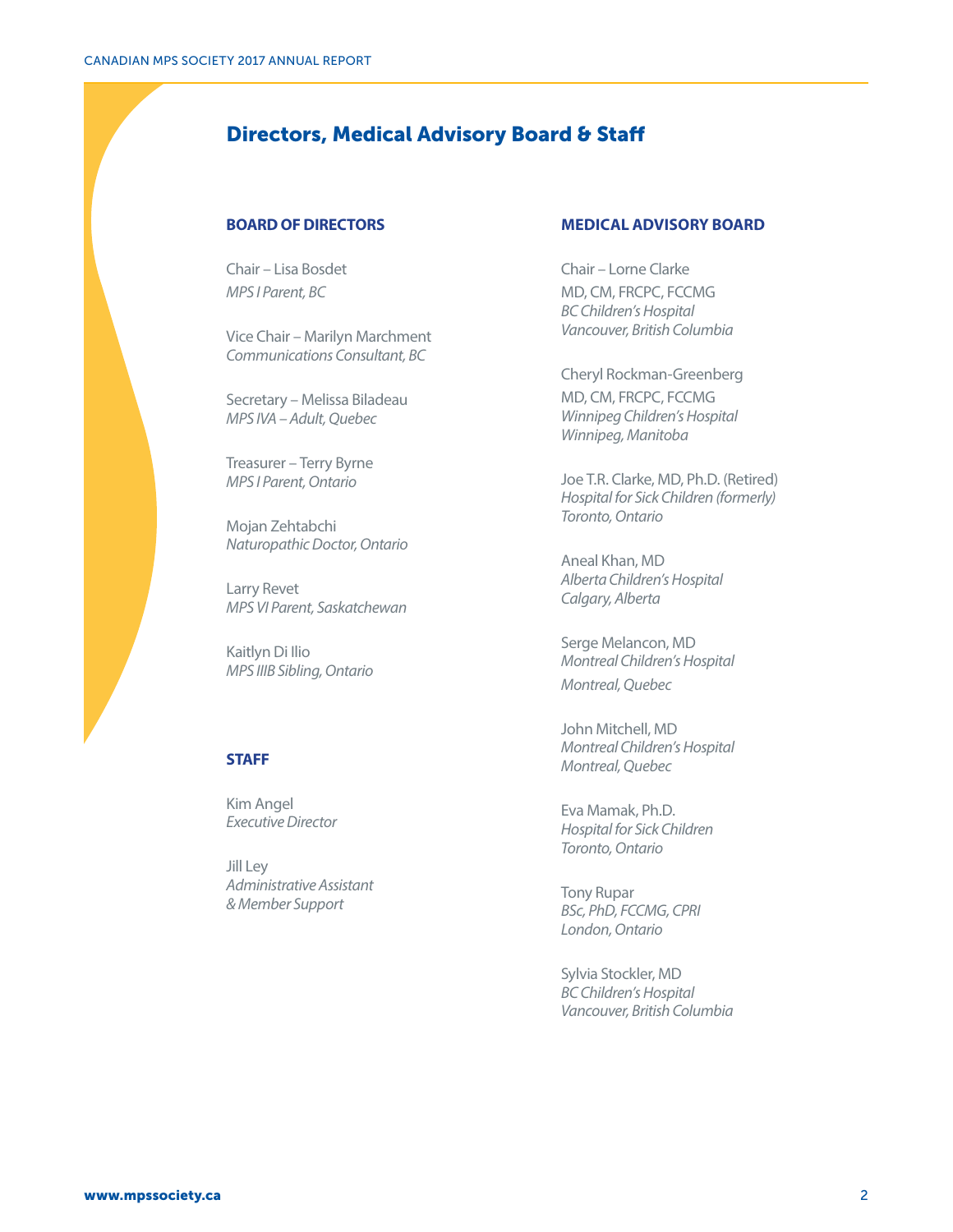# Directors, Medical Advisory Board & Staff

#### **BOARD OF DIRECTORS**

Chair – Lisa Bosdet *MPS I Parent, BC*

Vice Chair – Marilyn Marchment *Communications Consultant, BC*

Secretary – Melissa Biladeau *MPS IVA – Adult, Quebec*

Treasurer – Terry Byrne *MPS I Parent, Ontario*

Mojan Zehtabchi *Naturopathic Doctor, Ontario*

Larry Revet *MPS VI Parent, Saskatchewan*

Kaitlyn Di Ilio *MPS IIIB Sibling, Ontario*

#### **STAFF**

Kim Angel *Executive Director*

Jill Ley *Administrative Assistant & Member Support*

#### **MEDICAL ADVISORY BOARD**

Chair – Lorne Clarke MD, CM, FRCPC, FCCMG *BC Children's Hospital Vancouver, British Columbia*

Cheryl Rockman-Greenberg MD, CM, FRCPC, FCCMG *Winnipeg Children's Hospital Winnipeg, Manitoba*

Joe T.R. Clarke, MD, Ph.D. (Retired) *Hospital for Sick Children (formerly) Toronto, Ontario*

Aneal Khan, MD *Alberta Children's Hospital Calgary, Alberta*

Serge Melancon, MD *Montreal Children's Hospital Montreal, Quebec*

John Mitchell, MD *Montreal Children's Hospital Montreal, Quebec*

Eva Mamak, Ph.D. *Hospital for Sick Children Toronto, Ontario*

Tony Rupar *BSc, PhD, FCCMG, CPRI London, Ontario*

Sylvia Stockler, MD *BC Children's Hospital Vancouver, British Columbia*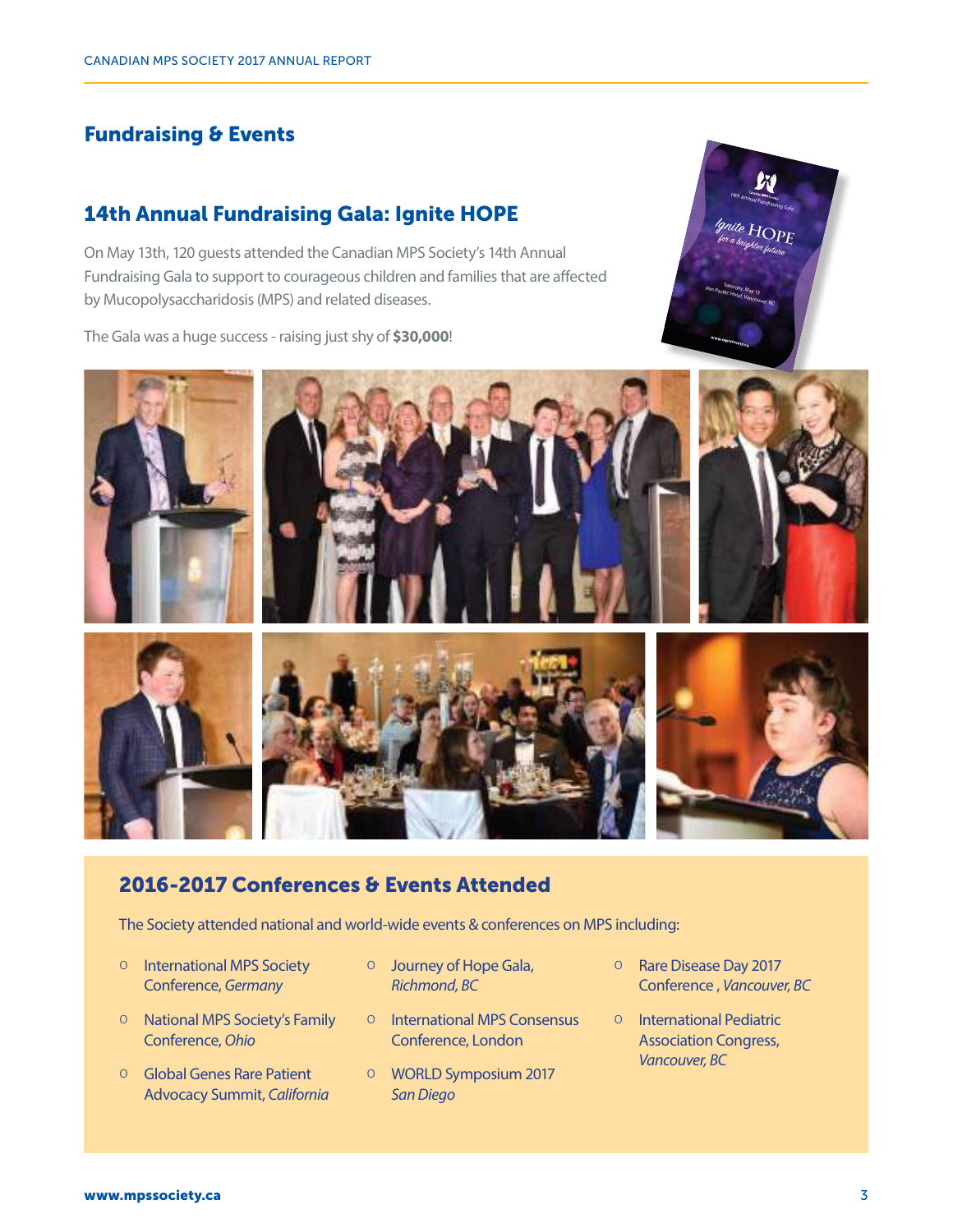## Fundraising & Events

## 14th Annual Fundraising Gala: Ignite HOPE

On May 13th, 120 guests attended the Canadian MPS Society's 14th Annual Fundraising Gala to support to courageous children and families that are affected by Mucopolysaccharidosis (MPS) and related diseases.

The Gala was a huge success - raising just shy of **\$30,000**!





## 2016-2017 Conferences & Events Attended

The Society attended national and world-wide events & conferences on MPS including:

- 0 International MPS Society Conference, *Germany*
- 0 National MPS Society's Family Conference, *Ohio*
- 0 Global Genes Rare Patient Advocacy Summit, *California*
- 0 Journey of Hope Gala, *Richmond, BC*
- 0 International MPS Consensus Conference, London
- 0 WORLD Symposium 2017 *San Diego*
- 0 Rare Disease Day 2017 Conference , *Vancouver, BC*
- 0 International Pediatric Association Congress, *Vancouver, BC*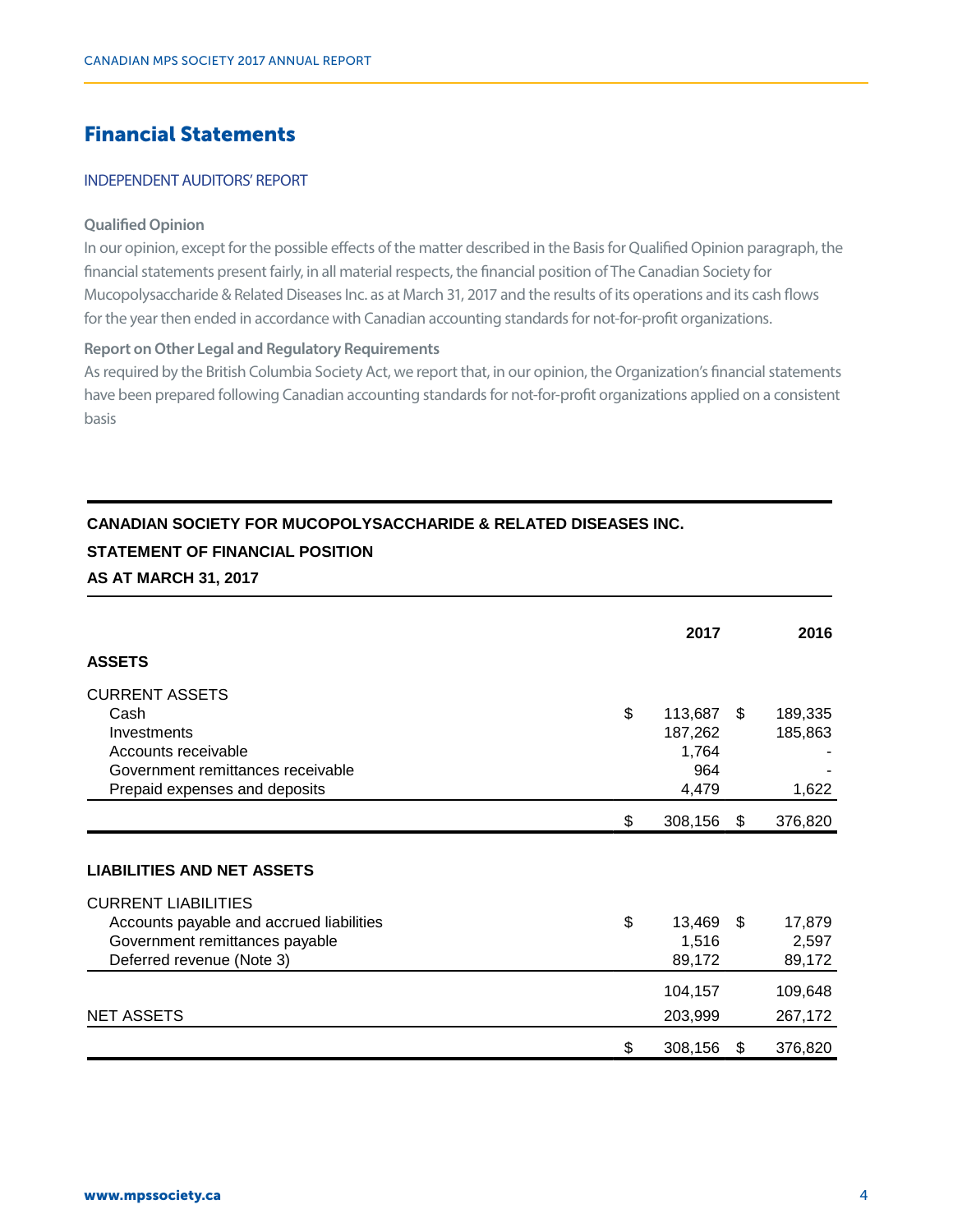# Financial Statements

## INDEPENDENT AUDITORS' REPORT **INDEPENDENT AUDITORS' REPORT**

#### **Qualified Opinion Qualified Opinion**

In our opinion, except for the possible effects of the matter described in the Basis for Qualified Opinion paragraph, the financial statements present fairly, in all material respects, the financial position of The Canadian Society for Mucopolysaccharide & Related Diseases Inc. as at March 31, 2017 and the results of its operations and its cash flows for the year then ended in accordance with Canadian accounting standards for not-for-profit organizations. for the results of the year the direct processes inc. as at indicity standard for the results of its operations and its

#### **Report on Other Legal and Regulatory Requirements** As report on Other Legar and Acguatory Acquirements

As required by the British Columbia Society Act, we report that, in our opinion, the Organization's financial statements have been prepared following Canadian accounting standards for not-for-profit organizations applied on a consistent basisbasis

## **CANADIAN SOCIETY FOR MUCOPOLYSACCHARIDE & RELATED DISEASES INC. STATEMENT OF FINANCIAL POSITION**

## **AS AT MARCH 31, 2017**

|                                          | 2017             |      | 2016    |
|------------------------------------------|------------------|------|---------|
| <b>ASSETS</b>                            |                  |      |         |
| <b>CURRENT ASSETS</b>                    |                  |      |         |
| Cash                                     | \$<br>113,687 \$ |      | 189,335 |
| Investments                              | 187,262          |      | 185,863 |
| Accounts receivable                      | 1,764            |      |         |
| Government remittances receivable        | 964              |      |         |
| Prepaid expenses and deposits            | 4,479            |      | 1,622   |
|                                          | \$<br>308,156    | \$   | 376,820 |
|                                          |                  |      |         |
| <b>LIABILITIES AND NET ASSETS</b>        |                  |      |         |
| <b>CURRENT LIABILITIES</b>               |                  |      |         |
| Accounts payable and accrued liabilities | \$<br>13,469     | - \$ | 17,879  |
| Government remittances payable           | 1,516            |      | 2,597   |
| Deferred revenue (Note 3)                | 89,172           |      | 89,172  |
|                                          | 104,157          |      | 109,648 |
| <b>NET ASSETS</b>                        | 203,999          |      | 267,172 |
|                                          | \$<br>308,156    | S    | 376,820 |
|                                          |                  |      |         |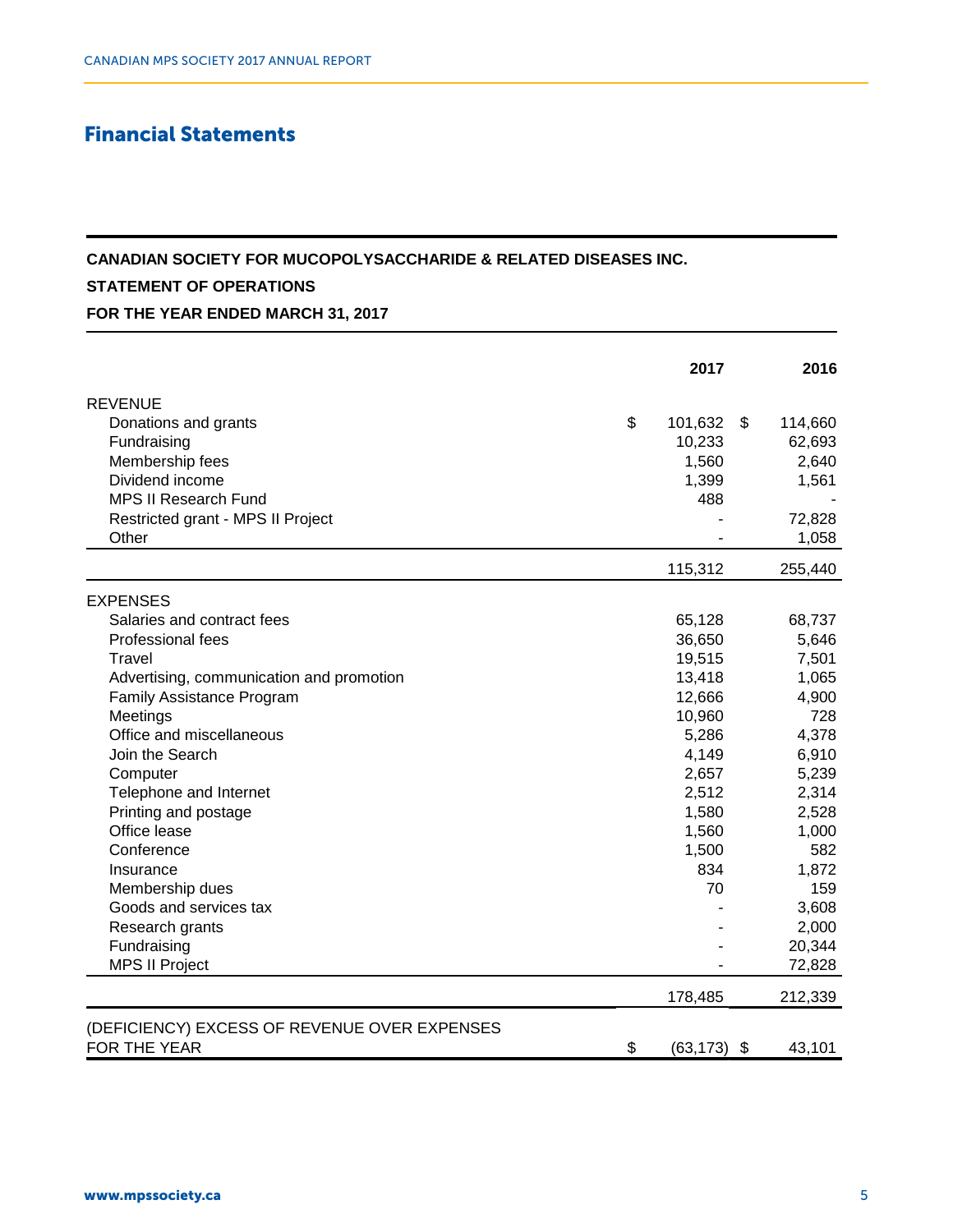# Financial Statements

### **CANADIAN SOCIETY FOR MUCOPOLYSACCHARIDE & RELATED DISEASES INC.**

## **STATEMENT OF OPERATIONS**

**FOR THE YEAR ENDED MARCH 31, 2017**

|                                              | 2017            | 2016          |
|----------------------------------------------|-----------------|---------------|
| <b>REVENUE</b>                               |                 |               |
| Donations and grants                         | \$<br>101,632   | \$<br>114,660 |
| Fundraising                                  | 10,233          | 62,693        |
| Membership fees                              | 1,560           | 2,640         |
| Dividend income                              | 1,399           | 1,561         |
| <b>MPS II Research Fund</b>                  | 488             |               |
| Restricted grant - MPS II Project            |                 | 72,828        |
| Other                                        |                 | 1,058         |
|                                              | 115,312         | 255,440       |
| <b>EXPENSES</b>                              |                 |               |
| Salaries and contract fees                   | 65,128          | 68,737        |
| Professional fees                            | 36,650          | 5,646         |
| Travel                                       | 19,515          | 7,501         |
| Advertising, communication and promotion     | 13,418          | 1,065         |
| Family Assistance Program                    | 12,666          | 4,900         |
| Meetings                                     | 10,960          | 728           |
| Office and miscellaneous                     | 5,286           | 4,378         |
| Join the Search                              | 4,149           | 6,910         |
| Computer                                     | 2,657           | 5,239         |
| Telephone and Internet                       | 2,512           | 2,314         |
| Printing and postage                         | 1,580           | 2,528         |
| Office lease                                 | 1,560           | 1,000         |
| Conference                                   | 1,500           | 582           |
| Insurance                                    | 834             | 1,872         |
| Membership dues                              | 70              | 159           |
| Goods and services tax                       |                 | 3,608         |
| Research grants                              |                 | 2,000         |
| Fundraising                                  |                 | 20,344        |
| <b>MPS II Project</b>                        |                 | 72,828        |
|                                              | 178,485         | 212,339       |
| (DEFICIENCY) EXCESS OF REVENUE OVER EXPENSES |                 |               |
| FOR THE YEAR                                 | \$<br>(63, 173) | \$<br>43,101  |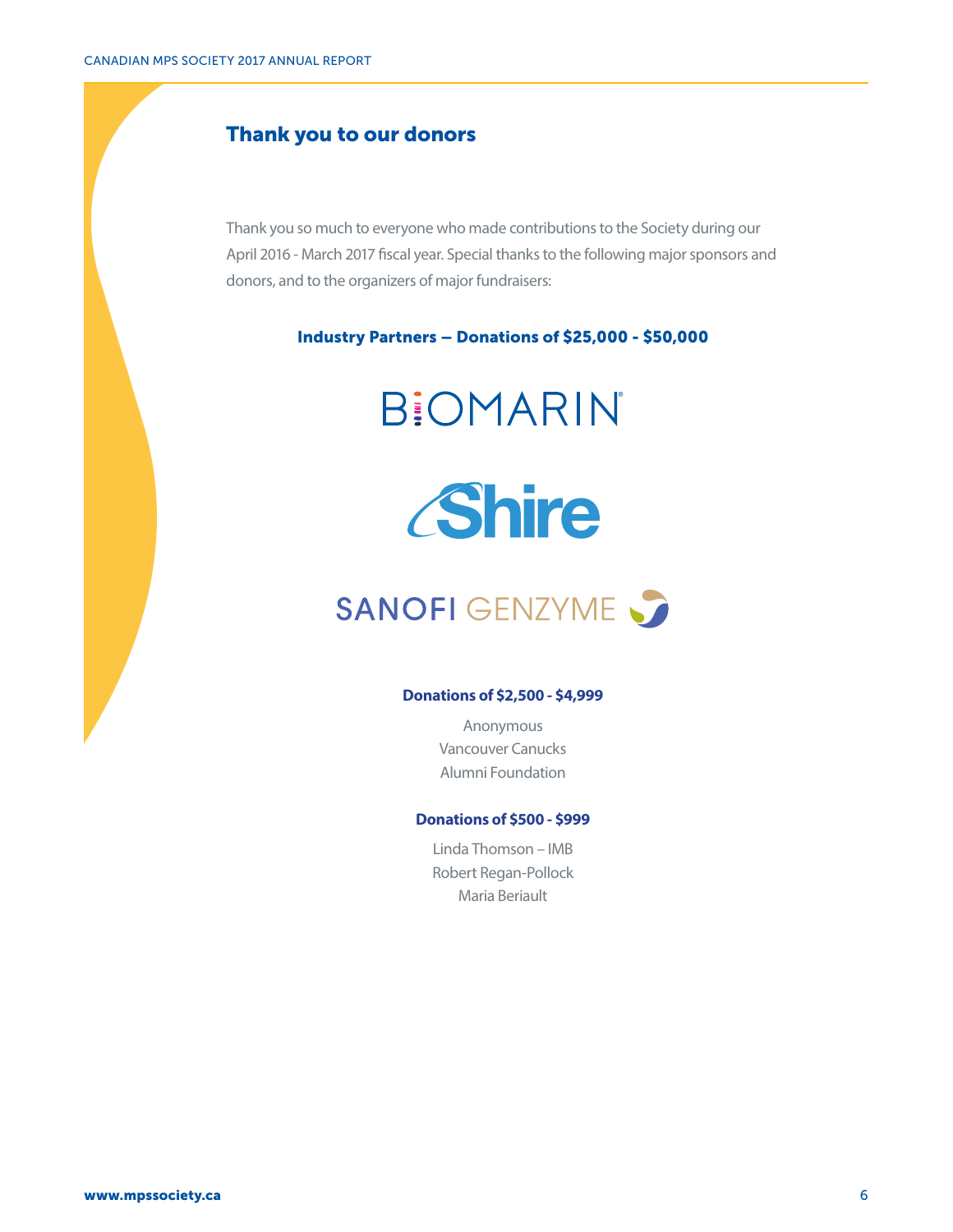## Thank you to our donors

Thank you so much to everyone who made contributions to the Society during our April 2016 - March 2017 fiscal year. Special thanks to the following major sponsors and donors, and to the organizers of major fundraisers:

Industry Partners – Donations of \$25,000 - \$50,000





# SANOFI GENZYME

#### **Donations of \$2,500 - \$4,999**

Anonymous Vancouver Canucks Alumni Foundation

#### **Donations of \$500 - \$999**

Linda Thomson – IMB Robert Regan-Pollock Maria Beriault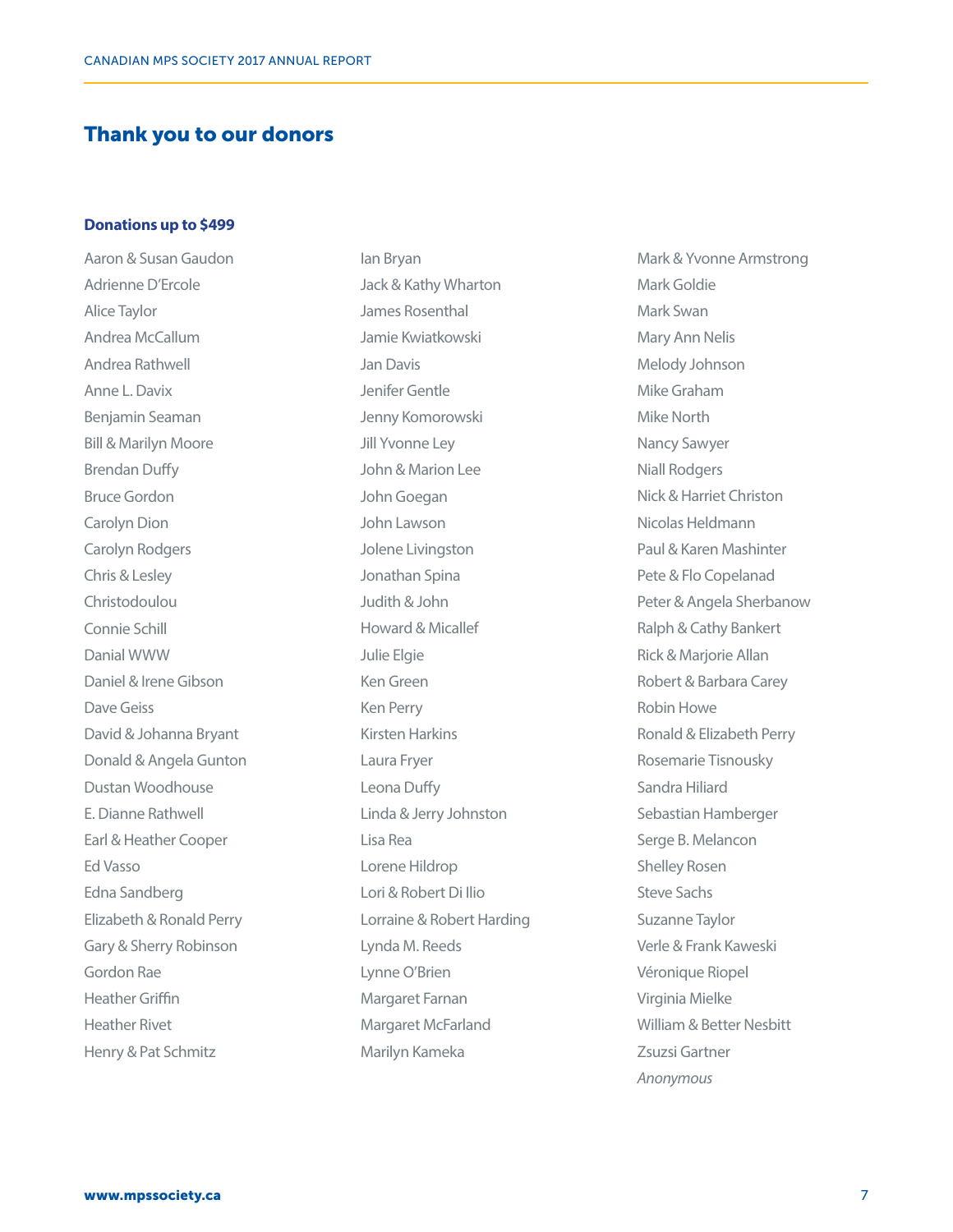## Thank you to our donors

#### **Donations up to \$499**

Aaron & Susan Gaudon Adrienne D'Ercole Alice Taylor Andrea McCallum Andrea Rathwell Anne L. Davix Benjamin Seaman Bill & Marilyn Moore Brendan Duffy Bruce Gordon Carolyn Dion Carolyn Rodgers Chris & Lesley Christodoulou Connie Schill Danial WWW Daniel & Irene Gibson Dave Geiss David & Johanna Bryant Donald & Angela Gunton Dustan Woodhouse E. Dianne Rathwell Earl & Heather Cooper Ed Vasso Edna Sandberg Elizabeth & Ronald Perry Gary & Sherry Robinson Gordon Rae Heather Griffin Heather Rivet Henry & Pat Schmitz

Ian Bryan Jack & Kathy Wharton James Rosenthal Jamie Kwiatkowski Jan Davis Jenifer Gentle Jenny Komorowski Jill Yvonne Ley John & Marion Lee John Goegan John Lawson Jolene Livingston Jonathan Spina Judith & John Howard & Micallef Julie Elgie Ken Green Ken Perry Kirsten Harkins Laura Fryer Leona Duffy Linda & Jerry Johnston Lisa Rea Lorene Hildrop Lori & Robert Di Ilio Lorraine & Robert Harding Lynda M. Reeds Lynne O'Brien Margaret Farnan Margaret McFarland Marilyn Kameka

Mark & Yvonne Armstrong Mark Goldie Mark Swan Mary Ann Nelis Melody Johnson Mike Graham Mike North Nancy Sawyer Niall Rodgers Nick & Harriet Christon Nicolas Heldmann Paul & Karen Mashinter Pete & Flo Copelanad Peter & Angela Sherbanow Ralph & Cathy Bankert Rick & Marjorie Allan Robert & Barbara Carey Robin Howe Ronald & Elizabeth Perry Rosemarie Tisnousky Sandra Hiliard Sebastian Hamberger Serge B. Melancon Shelley Rosen Steve Sachs Suzanne Taylor Verle & Frank Kaweski Véronique Riopel Virginia Mielke William & Better Nesbitt Zsuzsi Gartner *Anonymous*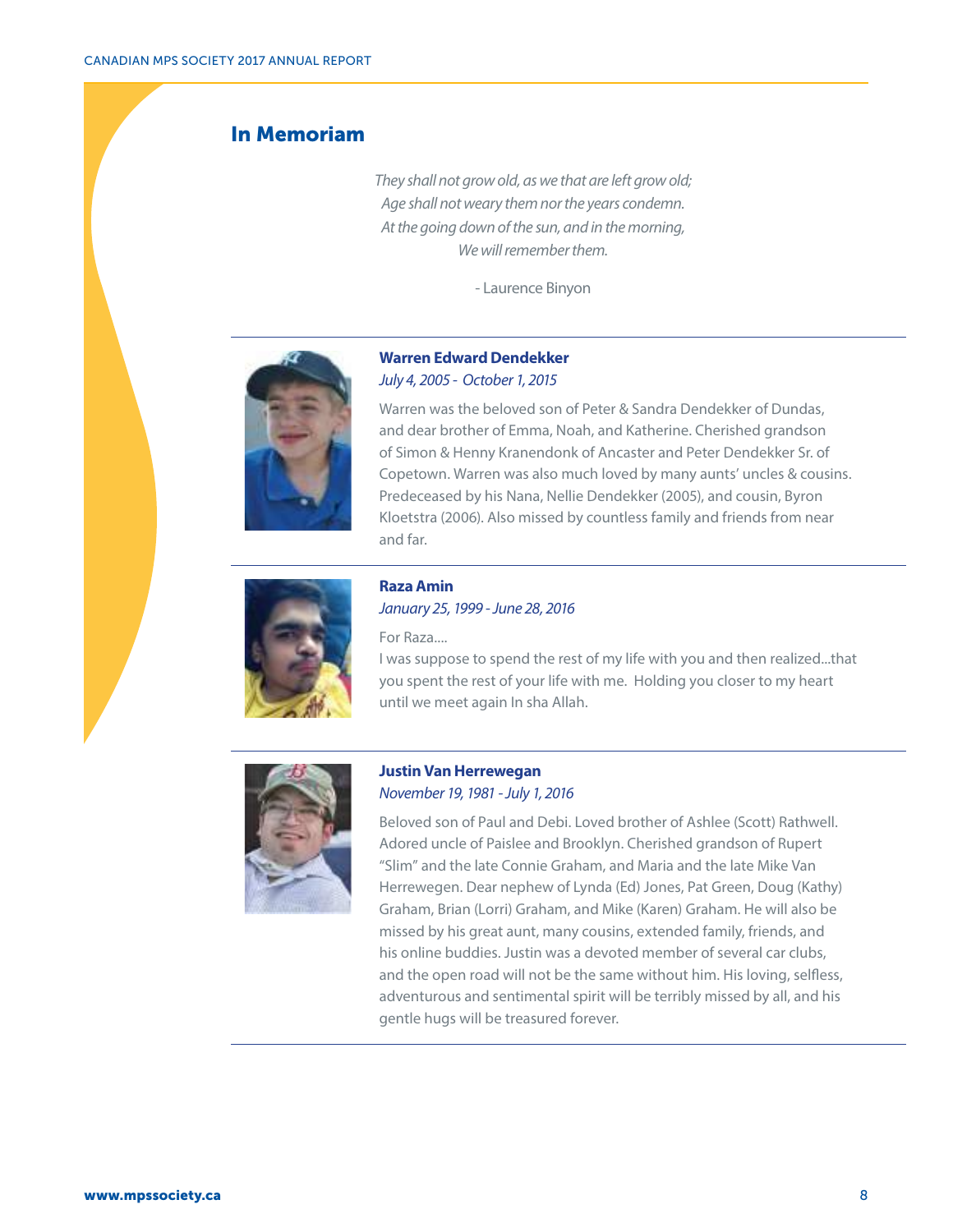## In Memoriam

*They shall not grow old, as we that are left grow old; Age shall not weary them nor the years condemn. At the going down of the sun, and in the morning, We will remember them.* 

- Laurence Binyon



#### **Warren Edward Dendekker** *July 4, 2005 - October 1, 2015*

Warren was the beloved son of Peter & Sandra Dendekker of Dundas, and dear brother of Emma, Noah, and Katherine. Cherished grandson of Simon & Henny Kranendonk of Ancaster and Peter Dendekker Sr. of Copetown. Warren was also much loved by many aunts' uncles & cousins. Predeceased by his Nana, Nellie Dendekker (2005), and cousin, Byron Kloetstra (2006). Also missed by countless family and friends from near and far.



**Raza Amin** *January 25, 1999 - June 28, 2016*

For Raza....

I was suppose to spend the rest of my life with you and then realized...that you spent the rest of your life with me. Holding you closer to my heart until we meet again In sha Allah.



### **Justin Van Herrewegan** *November 19, 1981 - July 1, 2016*

Beloved son of Paul and Debi. Loved brother of Ashlee (Scott) Rathwell. Adored uncle of Paislee and Brooklyn. Cherished grandson of Rupert "Slim" and the late Connie Graham, and Maria and the late Mike Van Herrewegen. Dear nephew of Lynda (Ed) Jones, Pat Green, Doug (Kathy) Graham, Brian (Lorri) Graham, and Mike (Karen) Graham. He will also be missed by his great aunt, many cousins, extended family, friends, and his online buddies. Justin was a devoted member of several car clubs, and the open road will not be the same without him. His loving, selfless, adventurous and sentimental spirit will be terribly missed by all, and his gentle hugs will be treasured forever.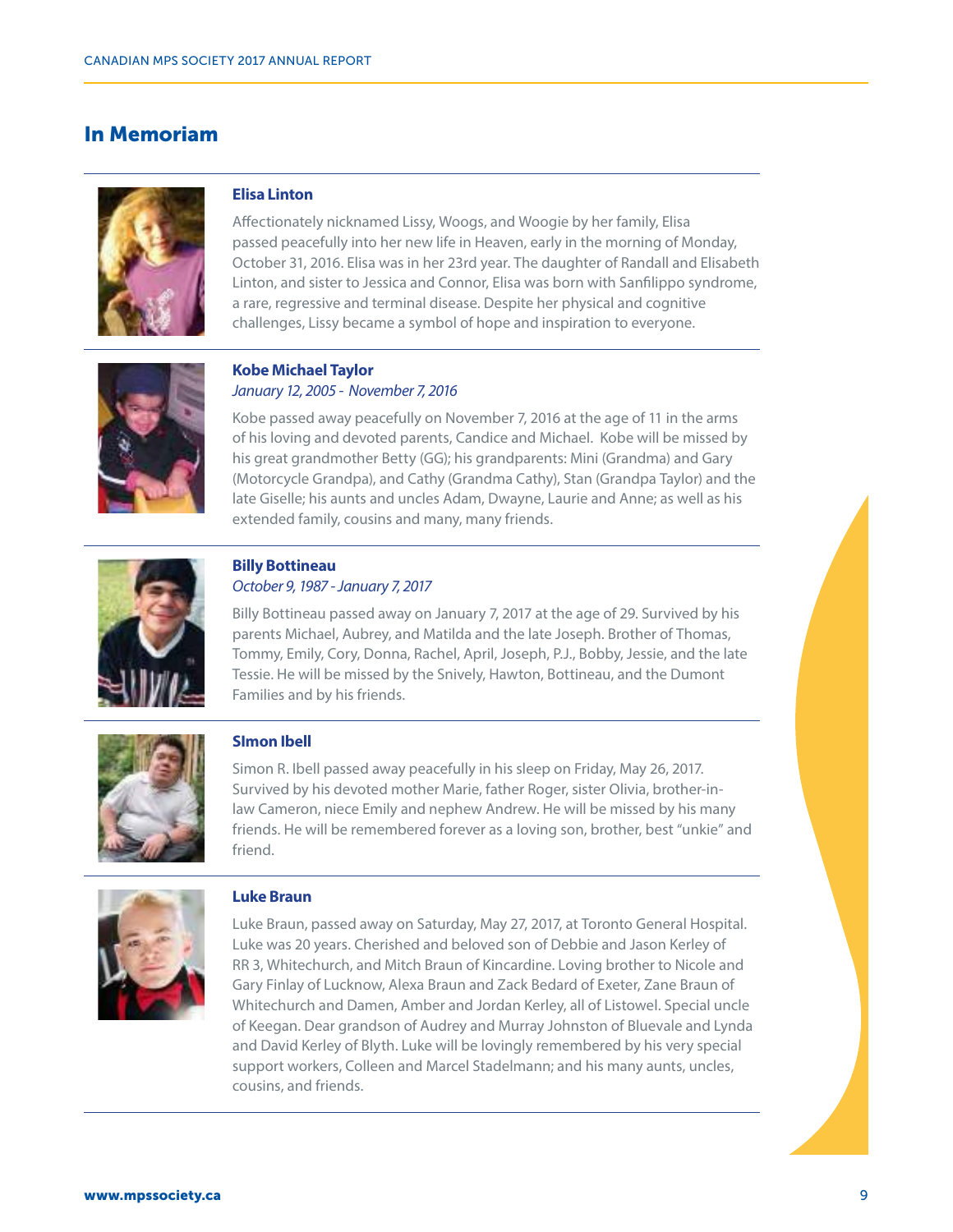## In Memoriam



### **Elisa Linton**

Affectionately nicknamed Lissy, Woogs, and Woogie by her family, Elisa passed peacefully into her new life in Heaven, early in the morning of Monday, October 31, 2016. Elisa was in her 23rd year. The daughter of Randall and Elisabeth Linton, and sister to Jessica and Connor, Elisa was born with Sanfilippo syndrome, a rare, regressive and terminal disease. Despite her physical and cognitive challenges, Lissy became a symbol of hope and inspiration to everyone.



#### **Kobe Michael Taylor**  *January 12, 2005 - November 7, 2016*

Kobe passed away peacefully on November 7, 2016 at the age of 11 in the arms of his loving and devoted parents, Candice and Michael. Kobe will be missed by his great grandmother Betty (GG); his grandparents: Mini (Grandma) and Gary (Motorcycle Grandpa), and Cathy (Grandma Cathy), Stan (Grandpa Taylor) and the late Giselle; his aunts and uncles Adam, Dwayne, Laurie and Anne; as well as his extended family, cousins and many, many friends.



#### **Billy Bottineau** *October 9, 1987 - January 7, 2017*

Billy Bottineau passed away on January 7, 2017 at the age of 29. Survived by his parents Michael, Aubrey, and Matilda and the late Joseph. Brother of Thomas, Tommy, Emily, Cory, Donna, Rachel, April, Joseph, P.J., Bobby, Jessie, and the late Tessie. He will be missed by the Snively, Hawton, Bottineau, and the Dumont Families and by his friends.



### **SImon Ibell**

Simon R. Ibell passed away peacefully in his sleep on Friday, May 26, 2017. Survived by his devoted mother Marie, father Roger, sister Olivia, brother-inlaw Cameron, niece Emily and nephew Andrew. He will be missed by his many friends. He will be remembered forever as a loving son, brother, best "unkie" and friend.



### **Luke Braun**

Luke Braun, passed away on Saturday, May 27, 2017, at Toronto General Hospital. Luke was 20 years. Cherished and beloved son of Debbie and Jason Kerley of RR 3, Whitechurch, and Mitch Braun of Kincardine. Loving brother to Nicole and Gary Finlay of Lucknow, Alexa Braun and Zack Bedard of Exeter, Zane Braun of Whitechurch and Damen, Amber and Jordan Kerley, all of Listowel. Special uncle of Keegan. Dear grandson of Audrey and Murray Johnston of Bluevale and Lynda and David Kerley of Blyth. Luke will be lovingly remembered by his very special support workers, Colleen and Marcel Stadelmann; and his many aunts, uncles, cousins, and friends.